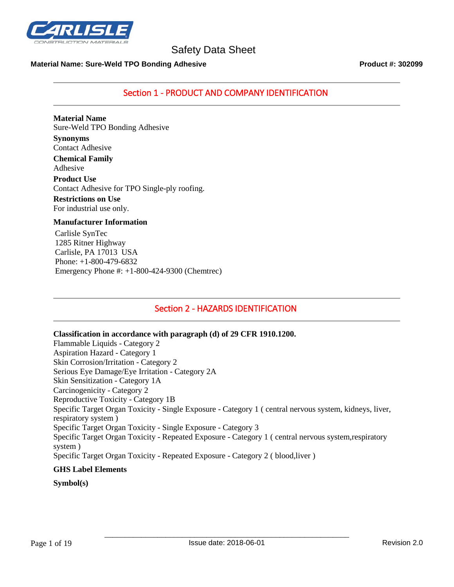

#### **Material Name: Sure-Weld TPO Bonding Adhesive Product #: 302099**

Section 1 - PRODUCT AND COMPANY IDENTIFICATION

**Material Name** Sure-Weld TPO Bonding Adhesive

**Synonyms** Contact Adhesive **Chemical Family** Adhesive **Product Use** Contact Adhesive for TPO Single-ply roofing. **Restrictions on Use**

For industrial use only.

#### **Manufacturer Information**

Carlisle SynTec 1285 Ritner Highway Carlisle, PA 17013 USA Phone: +1-800-479-6832 Emergency Phone #: +1-800-424-9300 (Chemtrec)

## Section 2 - HAZARDS IDENTIFICATION

**Classification in accordance with paragraph (d) of 29 CFR 1910.1200.** Flammable Liquids - Category 2 Aspiration Hazard - Category 1 Skin Corrosion/Irritation - Category 2 Serious Eye Damage/Eye Irritation - Category 2A Skin Sensitization - Category 1A Carcinogenicity - Category 2 Reproductive Toxicity - Category 1B Specific Target Organ Toxicity - Single Exposure - Category 1 ( central nervous system, kidneys, liver,

respiratory system ) Specific Target Organ Toxicity - Single Exposure - Category 3 Specific Target Organ Toxicity - Repeated Exposure - Category 1 ( central nervous system,respiratory system )

Specific Target Organ Toxicity - Repeated Exposure - Category 2 ( blood,liver )

#### **GHS Label Elements**

#### **Symbol(s)**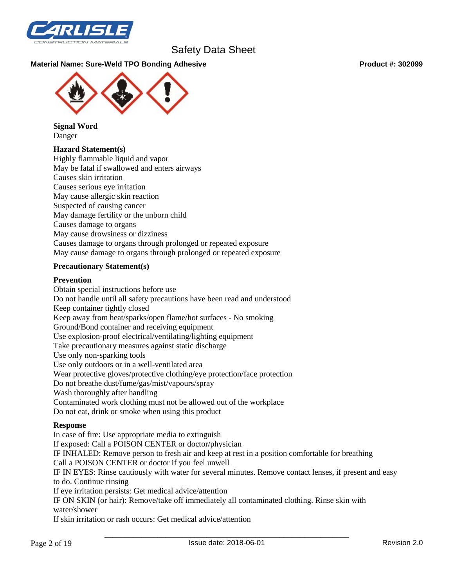

#### **Material Name: Sure-Weld TPO Bonding Adhesive Product #: 302099**



**Signal Word** Danger

#### **Hazard Statement(s)**

Highly flammable liquid and vapor May be fatal if swallowed and enters airways Causes skin irritation Causes serious eye irritation May cause allergic skin reaction Suspected of causing cancer May damage fertility or the unborn child Causes damage to organs May cause drowsiness or dizziness Causes damage to organs through prolonged or repeated exposure May cause damage to organs through prolonged or repeated exposure

#### **Precautionary Statement(s)**

#### **Prevention**

Obtain special instructions before use Do not handle until all safety precautions have been read and understood Keep container tightly closed Keep away from heat/sparks/open flame/hot surfaces - No smoking Ground/Bond container and receiving equipment Use explosion-proof electrical/ventilating/lighting equipment Take precautionary measures against static discharge Use only non-sparking tools Use only outdoors or in a well-ventilated area Wear protective gloves/protective clothing/eye protection/face protection Do not breathe dust/fume/gas/mist/vapours/spray Wash thoroughly after handling Contaminated work clothing must not be allowed out of the workplace Do not eat, drink or smoke when using this product

#### **Response**

In case of fire: Use appropriate media to extinguish If exposed: Call a POISON CENTER or doctor/physician IF INHALED: Remove person to fresh air and keep at rest in a position comfortable for breathing Call a POISON CENTER or doctor if you feel unwell IF IN EYES: Rinse cautiously with water for several minutes. Remove contact lenses, if present and easy to do. Continue rinsing If eye irritation persists: Get medical advice/attention IF ON SKIN (or hair): Remove/take off immediately all contaminated clothing. Rinse skin with water/shower If skin irritation or rash occurs: Get medical advice/attention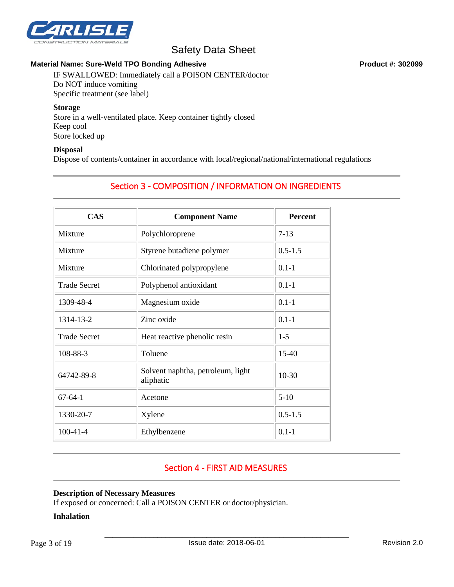

### Material Name: Sure-Weld TPO Bonding Adhesive **Product #: 302099** Product #: 302099

IF SWALLOWED: Immediately call a POISON CENTER/doctor Do NOT induce vomiting Specific treatment (see label)

#### **Storage**

Store in a well-ventilated place. Keep container tightly closed Keep cool Store locked up

#### **Disposal**

Dispose of contents/container in accordance with local/regional/national/international regulations

# Section 3 - COMPOSITION / INFORMATION ON INGREDIENTS

| <b>CAS</b>          | <b>Component Name</b>                          | <b>Percent</b> |
|---------------------|------------------------------------------------|----------------|
| Mixture             | Polychloroprene                                | $7-13$         |
| Mixture             | Styrene butadiene polymer                      | $0.5 - 1.5$    |
| Mixture             | Chlorinated polypropylene                      | $0.1 - 1$      |
| <b>Trade Secret</b> | Polyphenol antioxidant                         | $0.1 - 1$      |
| 1309-48-4           | Magnesium oxide                                | $0.1 - 1$      |
| 1314-13-2           | Zinc oxide                                     | $0.1 - 1$      |
| <b>Trade Secret</b> | Heat reactive phenolic resin                   | $1-5$          |
| 108-88-3            | Toluene                                        | $15-40$        |
| 64742-89-8          | Solvent naphtha, petroleum, light<br>aliphatic | $10 - 30$      |
| $67 - 64 - 1$       | Acetone                                        | $5-10$         |
| 1330-20-7           | Xylene                                         | $0.5 - 1.5$    |
| $100-41-4$          | Ethylbenzene                                   | $0.1 - 1$      |

# Section 4 - FIRST AID MEASURES

#### **Description of Necessary Measures**

If exposed or concerned: Call a POISON CENTER or doctor/physician.

#### **Inhalation**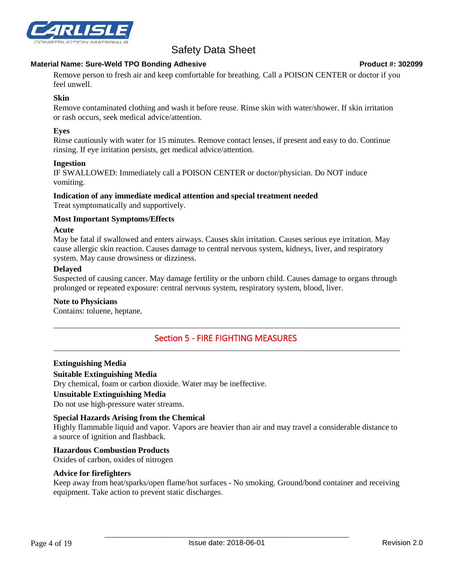

#### **Material Name: Sure-Weld TPO Bonding Adhesive Product #: 302099**

Remove person to fresh air and keep comfortable for breathing. Call a POISON CENTER or doctor if you feel unwell.

### **Skin**

Remove contaminated clothing and wash it before reuse. Rinse skin with water/shower. If skin irritation or rash occurs, seek medical advice/attention.

### **Eyes**

Rinse cautiously with water for 15 minutes. Remove contact lenses, if present and easy to do. Continue rinsing. If eye irritation persists, get medical advice/attention.

#### **Ingestion**

IF SWALLOWED: Immediately call a POISON CENTER or doctor/physician. Do NOT induce vomiting.

# **Indication of any immediate medical attention and special treatment needed**

Treat symptomatically and supportively.

#### **Most Important Symptoms/Effects**

#### **Acute**

May be fatal if swallowed and enters airways. Causes skin irritation. Causes serious eye irritation. May cause allergic skin reaction. Causes damage to central nervous system, kidneys, liver, and respiratory system. May cause drowsiness or dizziness.

#### **Delayed**

Suspected of causing cancer. May damage fertility or the unborn child. Causes damage to organs through prolonged or repeated exposure: central nervous system, respiratory system, blood, liver.

#### **Note to Physicians**

Contains: toluene, heptane.

## Section 5 - FIRE FIGHTING MEASURES

#### **Extinguishing Media Suitable Extinguishing Media**

Dry chemical, foam or carbon dioxide. Water may be ineffective.

#### **Unsuitable Extinguishing Media**

Do not use high-pressure water streams.

#### **Special Hazards Arising from the Chemical**

Highly flammable liquid and vapor. Vapors are heavier than air and may travel a considerable distance to a source of ignition and flashback.

# **Hazardous Combustion Products**

Oxides of carbon, oxides of nitrogen

#### **Advice for firefighters**

Keep away from heat/sparks/open flame/hot surfaces - No smoking. Ground/bond container and receiving equipment. Take action to prevent static discharges.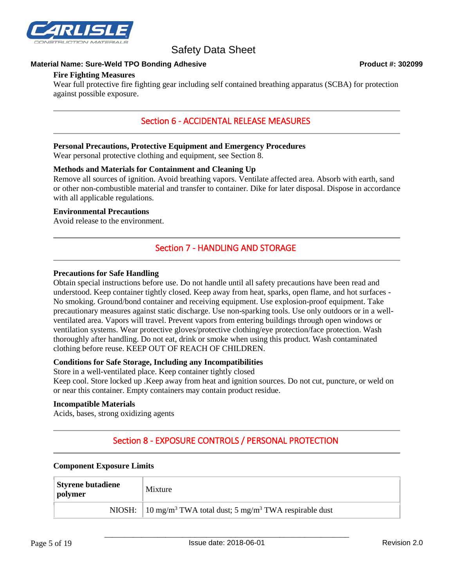

#### **Material Name: Sure-Weld TPO Bonding Adhesive Product #: 302099**

#### **Fire Fighting Measures**

Wear full protective fire fighting gear including self contained breathing apparatus (SCBA) for protection against possible exposure.

## Section 6 - ACCIDENTAL RELEASE MEASURES

#### **Personal Precautions, Protective Equipment and Emergency Procedures**

Wear personal protective clothing and equipment, see Section 8.

#### **Methods and Materials for Containment and Cleaning Up**

Remove all sources of ignition. Avoid breathing vapors. Ventilate affected area. Absorb with earth, sand or other non-combustible material and transfer to container. Dike for later disposal. Dispose in accordance with all applicable regulations.

#### **Environmental Precautions**

Avoid release to the environment.

## Section 7 - HANDLING AND STORAGE

#### **Precautions for Safe Handling**

Obtain special instructions before use. Do not handle until all safety precautions have been read and understood. Keep container tightly closed. Keep away from heat, sparks, open flame, and hot surfaces - No smoking. Ground/bond container and receiving equipment. Use explosion-proof equipment. Take precautionary measures against static discharge. Use non-sparking tools. Use only outdoors or in a wellventilated area. Vapors will travel. Prevent vapors from entering buildings through open windows or ventilation systems. Wear protective gloves/protective clothing/eye protection/face protection. Wash thoroughly after handling. Do not eat, drink or smoke when using this product. Wash contaminated clothing before reuse. KEEP OUT OF REACH OF CHILDREN.

#### **Conditions for Safe Storage, Including any Incompatibilities**

Store in a well-ventilated place. Keep container tightly closed

Keep cool. Store locked up .Keep away from heat and ignition sources. Do not cut, puncture, or weld on or near this container. Empty containers may contain product residue.

#### **Incompatible Materials**

Acids, bases, strong oxidizing agents

# Section 8 - EXPOSURE CONTROLS / PERSONAL PROTECTION

# **Component Exposure Limits**

| <b>Styrene butadiene</b><br>polymer | Mixture                                                                                                   |  |
|-------------------------------------|-----------------------------------------------------------------------------------------------------------|--|
|                                     | NIOSH: $\left  10 \text{ mg/m}^3 \text{ TWA} \right $ total dust; 5 mg/m <sup>3</sup> TWA respirable dust |  |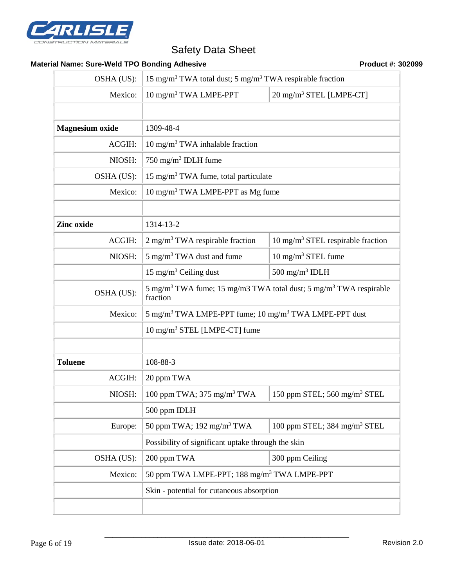

## **Material Name: Sure-Weld TPO Bonding Adhesive <b>Product #: 302099** Product #: 302099

| OSHA (US):             | 15 mg/m <sup>3</sup> TWA total dust; 5 mg/m <sup>3</sup> TWA respirable fraction                      |                                              |  |
|------------------------|-------------------------------------------------------------------------------------------------------|----------------------------------------------|--|
| Mexico:                | 10 mg/m <sup>3</sup> TWA LMPE-PPT                                                                     | 20 mg/m <sup>3</sup> STEL [LMPE-CT]          |  |
|                        |                                                                                                       |                                              |  |
| <b>Magnesium</b> oxide | 1309-48-4                                                                                             |                                              |  |
| ACGIH:                 | 10 mg/m <sup>3</sup> TWA inhalable fraction                                                           |                                              |  |
| NIOSH:                 | 750 mg/m <sup>3</sup> IDLH fume                                                                       |                                              |  |
| OSHA (US):             | 15 mg/m <sup>3</sup> TWA fume, total particulate                                                      |                                              |  |
| Mexico:                | 10 mg/m <sup>3</sup> TWA LMPE-PPT as Mg fume                                                          |                                              |  |
|                        |                                                                                                       |                                              |  |
| Zinc oxide             | 1314-13-2                                                                                             |                                              |  |
| ACGIH:                 | $2 \text{ mg/m}^3$ TWA respirable fraction                                                            | $10 \text{ mg/m}^3$ STEL respirable fraction |  |
| NIOSH:                 | 5 mg/m <sup>3</sup> TWA dust and fume                                                                 | 10 mg/m <sup>3</sup> STEL fume               |  |
|                        | 15 mg/m <sup>3</sup> Ceiling dust                                                                     | 500 mg/m <sup>3</sup> IDLH                   |  |
| OSHA (US):             | 5 mg/m <sup>3</sup> TWA fume; 15 mg/m3 TWA total dust; 5 mg/m <sup>3</sup> TWA respirable<br>fraction |                                              |  |
| Mexico:                | 5 mg/m <sup>3</sup> TWA LMPE-PPT fume; 10 mg/m <sup>3</sup> TWA LMPE-PPT dust                         |                                              |  |
|                        | $10 \text{ mg/m}^3$ STEL [LMPE-CT] fume                                                               |                                              |  |
|                        |                                                                                                       |                                              |  |
| <b>Toluene</b>         | 108-88-3                                                                                              |                                              |  |
| ACGIH:                 | 20 ppm TWA                                                                                            |                                              |  |
| NIOSH:                 | 100 ppm TWA; $375 \text{ mg/m}^3$ TWA                                                                 | 150 ppm STEL; 560 mg/m <sup>3</sup> STEL     |  |
|                        | 500 ppm IDLH                                                                                          |                                              |  |
| Europe:                | 50 ppm TWA; 192 mg/m <sup>3</sup> TWA                                                                 | 100 ppm STEL; 384 mg/m <sup>3</sup> STEL     |  |
|                        | Possibility of significant uptake through the skin                                                    |                                              |  |
| OSHA (US):             | 200 ppm TWA                                                                                           | 300 ppm Ceiling                              |  |
| Mexico:                | 50 ppm TWA LMPE-PPT; 188 mg/m <sup>3</sup> TWA LMPE-PPT                                               |                                              |  |
|                        | Skin - potential for cutaneous absorption                                                             |                                              |  |
|                        |                                                                                                       |                                              |  |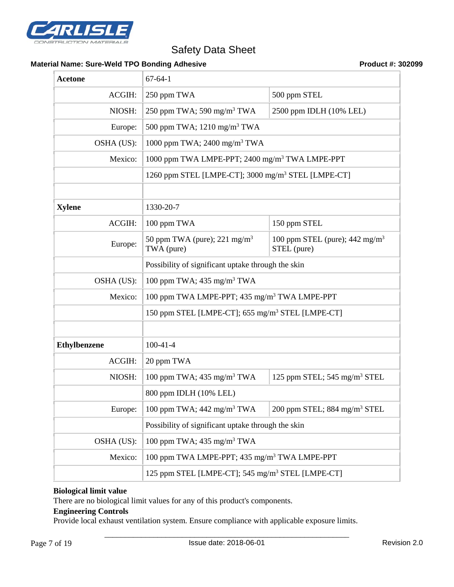

#### Material Name: Sure-Weld TPO Bonding Adhesive **Product #: 302099** Product #: 302099

| <b>Acetone</b>      | $67 - 64 - 1$                                                  |                                                          |  |
|---------------------|----------------------------------------------------------------|----------------------------------------------------------|--|
| ACGIH:              | 250 ppm TWA<br>500 ppm STEL                                    |                                                          |  |
| NIOSH:              | 250 ppm TWA; 590 mg/m <sup>3</sup> TWA                         | 2500 ppm IDLH (10% LEL)                                  |  |
| Europe:             | 500 ppm TWA; 1210 mg/m <sup>3</sup> TWA                        |                                                          |  |
| OSHA (US):          | 1000 ppm TWA; 2400 mg/m <sup>3</sup> TWA                       |                                                          |  |
| Mexico:             | 1000 ppm TWA LMPE-PPT; 2400 mg/m <sup>3</sup> TWA LMPE-PPT     |                                                          |  |
|                     | 1260 ppm STEL [LMPE-CT]; 3000 mg/m <sup>3</sup> STEL [LMPE-CT] |                                                          |  |
|                     |                                                                |                                                          |  |
| <b>Xylene</b>       | 1330-20-7                                                      |                                                          |  |
| ACGIH:              | 100 ppm TWA                                                    | 150 ppm STEL                                             |  |
| Europe:             | 50 ppm TWA (pure); $221 \text{ mg/m}^3$<br>TWA (pure)          | 100 ppm STEL (pure); $442 \text{ mg/m}^3$<br>STEL (pure) |  |
|                     | Possibility of significant uptake through the skin             |                                                          |  |
| OSHA (US):          | 100 ppm TWA; $435 \text{ mg/m}^3$ TWA                          |                                                          |  |
| Mexico:             | 100 ppm TWA LMPE-PPT; 435 mg/m <sup>3</sup> TWA LMPE-PPT       |                                                          |  |
|                     | 150 ppm STEL [LMPE-CT]; 655 mg/m <sup>3</sup> STEL [LMPE-CT]   |                                                          |  |
|                     |                                                                |                                                          |  |
| <b>Ethylbenzene</b> | $100-41-4$                                                     |                                                          |  |
| <b>ACGIH:</b>       | 20 ppm TWA                                                     |                                                          |  |
| NIOSH:              | 100 ppm TWA; $435 \text{ mg/m}^3$ TWA                          | 125 ppm STEL; $545 \text{ mg/m}^3$ STEL                  |  |
|                     | 800 ppm IDLH (10% LEL)                                         |                                                          |  |
| Europe:             | 100 ppm TWA; $442 \text{ mg/m}^3$ TWA                          | 200 ppm STEL; 884 mg/m <sup>3</sup> STEL                 |  |
|                     | Possibility of significant uptake through the skin             |                                                          |  |
| OSHA (US):          | 100 ppm TWA; $435 \text{ mg/m}^3$ TWA                          |                                                          |  |
| Mexico:             | 100 ppm TWA LMPE-PPT; 435 mg/m <sup>3</sup> TWA LMPE-PPT       |                                                          |  |
|                     | 125 ppm STEL [LMPE-CT]; 545 mg/m <sup>3</sup> STEL [LMPE-CT]   |                                                          |  |

### **Biological limit value**

There are no biological limit values for any of this product's components.

#### **Engineering Controls**

Provide local exhaust ventilation system. Ensure compliance with applicable exposure limits.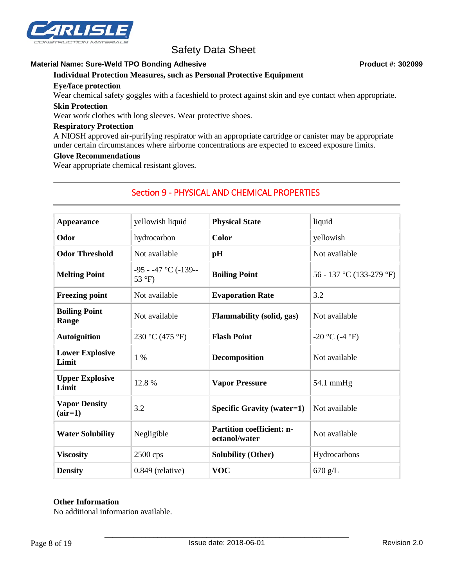

#### Material Name: Sure-Weld TPO Bonding Adhesive **Product #: 302099** Product #: 302099

#### **Individual Protection Measures, such as Personal Protective Equipment**

#### **Eye/face protection**

Wear chemical safety goggles with a faceshield to protect against skin and eye contact when appropriate.

#### **Skin Protection**

Wear work clothes with long sleeves. Wear protective shoes.

#### **Respiratory Protection**

A NIOSH approved air-purifying respirator with an appropriate cartridge or canister may be appropriate under certain circumstances where airborne concentrations are expected to exceed exposure limits.

#### **Glove Recommendations**

Wear appropriate chemical resistant gloves.

## Section 9 - PHYSICAL AND CHEMICAL PROPERTIES

| <b>Appearance</b>                 | yellowish liquid                 | <b>Physical State</b>                             | liquid                   |
|-----------------------------------|----------------------------------|---------------------------------------------------|--------------------------|
| Odor                              | hydrocarbon                      | Color                                             | yellowish                |
| <b>Odor Threshold</b>             | Not available                    | pH                                                | Not available            |
| <b>Melting Point</b>              | $-95 - -47$ °C (-139--<br>53 °F) | <b>Boiling Point</b>                              | 56 - 137 °C (133-279 °F) |
| <b>Freezing point</b>             | Not available                    | <b>Evaporation Rate</b>                           | 3.2                      |
| <b>Boiling Point</b><br>Range     | Not available                    | <b>Flammability (solid, gas)</b>                  | Not available            |
| <b>Autoignition</b>               | 230 °C (475 °F)                  | <b>Flash Point</b>                                | $-20$ °C (-4 °F)         |
| <b>Lower Explosive</b><br>Limit   | $1\%$                            | <b>Decomposition</b>                              | Not available            |
| <b>Upper Explosive</b><br>Limit   | 12.8%                            | <b>Vapor Pressure</b>                             | $54.1 \text{ mmHg}$      |
| <b>Vapor Density</b><br>$(air=1)$ | 3.2                              | <b>Specific Gravity (water=1)</b>                 | Not available            |
| <b>Water Solubility</b>           | Negligible                       | <b>Partition coefficient: n-</b><br>octanol/water | Not available            |
| <b>Viscosity</b>                  | $2500$ cps                       | <b>Solubility (Other)</b>                         | Hydrocarbons             |
| <b>Density</b>                    | $0.849$ (relative)               | <b>VOC</b>                                        | $670$ g/L                |

### **Other Information**

No additional information available.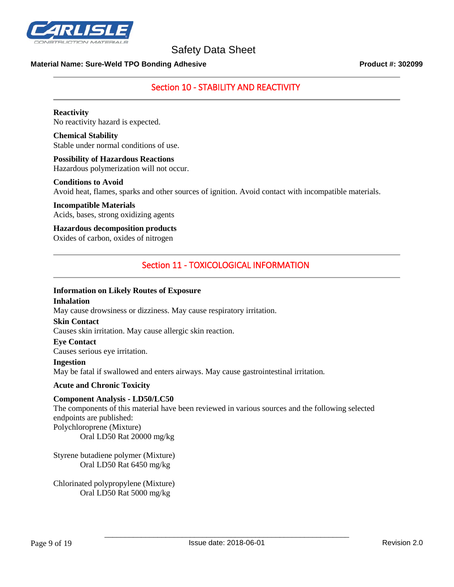

#### **Material Name: Sure-Weld TPO Bonding Adhesive Product #: 302099**

## Section 10 - STABILITY AND REACTIVITY

**Reactivity** No reactivity hazard is expected.

**Chemical Stability** Stable under normal conditions of use.

## **Possibility of Hazardous Reactions**

Hazardous polymerization will not occur.

#### **Conditions to Avoid**

Avoid heat, flames, sparks and other sources of ignition. Avoid contact with incompatible materials.

**Incompatible Materials** Acids, bases, strong oxidizing agents

**Hazardous decomposition products** Oxides of carbon, oxides of nitrogen

## Section 11 - TOXICOLOGICAL INFORMATION

#### **Information on Likely Routes of Exposure**

#### **Inhalation**

May cause drowsiness or dizziness. May cause respiratory irritation.

#### **Skin Contact**

Causes skin irritation. May cause allergic skin reaction.

#### **Eye Contact**

Causes serious eye irritation.

**Ingestion**

May be fatal if swallowed and enters airways. May cause gastrointestinal irritation.

#### **Acute and Chronic Toxicity**

#### **Component Analysis - LD50/LC50**

The components of this material have been reviewed in various sources and the following selected endpoints are published: Polychloroprene (Mixture) Oral LD50 Rat 20000 mg/kg

Styrene butadiene polymer (Mixture) Oral LD50 Rat 6450 mg/kg

Chlorinated polypropylene (Mixture) Oral LD50 Rat 5000 mg/kg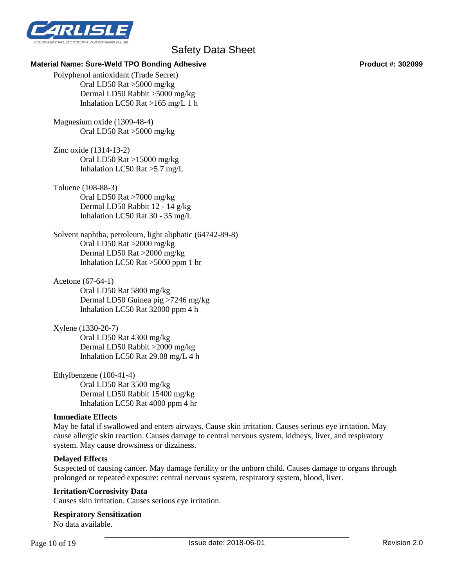

#### **Material Name: Sure-Weld TPO Bonding Adhesive Product #: 302099**

Polyphenol antioxidant (Trade Secret) Oral LD50 Rat >5000 mg/kg Dermal LD50 Rabbit >5000 mg/kg Inhalation LC50 Rat >165 mg/L 1 h

Magnesium oxide (1309-48-4) Oral LD50 Rat >5000 mg/kg

Zinc oxide (1314-13-2) Oral LD50 Rat >15000 mg/kg Inhalation LC50 Rat >5.7 mg/L

#### Toluene (108-88-3)

Oral LD50 Rat >7000 mg/kg Dermal LD50 Rabbit 12 - 14 g/kg Inhalation LC50 Rat 30 - 35 mg/L

Solvent naphtha, petroleum, light aliphatic (64742-89-8) Oral LD50 Rat >2000 mg/kg Dermal LD50 Rat >2000 mg/kg Inhalation LC50 Rat >5000 ppm 1 hr

Acetone (67-64-1) Oral LD50 Rat 5800 mg/kg Dermal LD50 Guinea pig >7246 mg/kg Inhalation LC50 Rat 32000 ppm 4 h

Xylene (1330-20-7) Oral LD50 Rat 4300 mg/kg Dermal LD50 Rabbit >2000 mg/kg Inhalation LC50 Rat 29.08 mg/L 4 h

Ethylbenzene (100-41-4) Oral LD50 Rat 3500 mg/kg Dermal LD50 Rabbit 15400 mg/kg Inhalation LC50 Rat 4000 ppm 4 hr

#### **Immediate Effects**

May be fatal if swallowed and enters airways. Cause skin irritation. Causes serious eye irritation. May cause allergic skin reaction. Causes damage to central nervous system, kidneys, liver, and respiratory system. May cause drowsiness or dizziness.

#### **Delayed Effects**

Suspected of causing cancer. May damage fertility or the unborn child. Causes damage to organs through prolonged or repeated exposure: central nervous system, respiratory system, blood, liver.

#### **Irritation/Corrosivity Data**

Causes skin irritation. Causes serious eye irritation.

#### **Respiratory Sensitization**

No data available.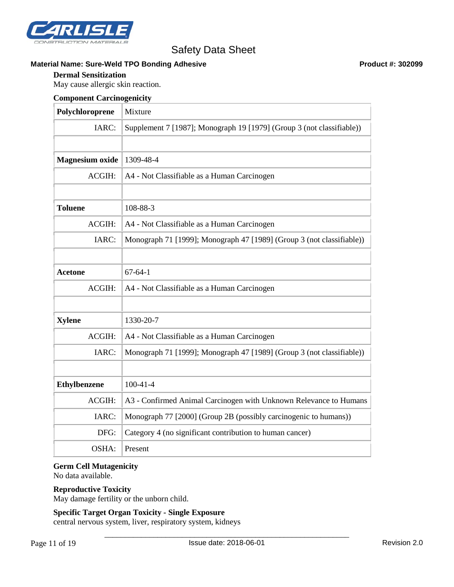

#### Material Name: Sure-Weld TPO Bonding Adhesive **Product #: 302099** Product #: 302099

#### **Dermal Sensitization**

May cause allergic skin reaction.

#### **Component Carcinogenicity**

| Polychloroprene        | Mixture                                                               |
|------------------------|-----------------------------------------------------------------------|
| IARC:                  | Supplement 7 [1987]; Monograph 19 [1979] (Group 3 (not classifiable)) |
|                        |                                                                       |
| <b>Magnesium</b> oxide | 1309-48-4                                                             |
| ACGIH:                 | A4 - Not Classifiable as a Human Carcinogen                           |
|                        |                                                                       |
| <b>Toluene</b>         | 108-88-3                                                              |
| ACGIH:                 | A4 - Not Classifiable as a Human Carcinogen                           |
| IARC:                  | Monograph 71 [1999]; Monograph 47 [1989] (Group 3 (not classifiable)) |
|                        |                                                                       |
| <b>Acetone</b>         | $67 - 64 - 1$                                                         |
| <b>ACGIH:</b>          | A4 - Not Classifiable as a Human Carcinogen                           |
|                        |                                                                       |
| <b>Xylene</b>          | 1330-20-7                                                             |
| ACGIH:                 | A4 - Not Classifiable as a Human Carcinogen                           |
| IARC:                  | Monograph 71 [1999]; Monograph 47 [1989] (Group 3 (not classifiable)) |
|                        |                                                                       |
| <b>Ethylbenzene</b>    | $100-41-4$                                                            |
| ACGIH:                 | A3 - Confirmed Animal Carcinogen with Unknown Relevance to Humans     |
| IARC:                  | Monograph 77 [2000] (Group 2B (possibly carcinogenic to humans))      |
| DFG:                   | Category 4 (no significant contribution to human cancer)              |
| OSHA:                  | Present                                                               |

#### **Germ Cell Mutagenicity**

No data available.

#### **Reproductive Toxicity**

May damage fertility or the unborn child.

#### **Specific Target Organ Toxicity - Single Exposure**

central nervous system, liver, respiratory system, kidneys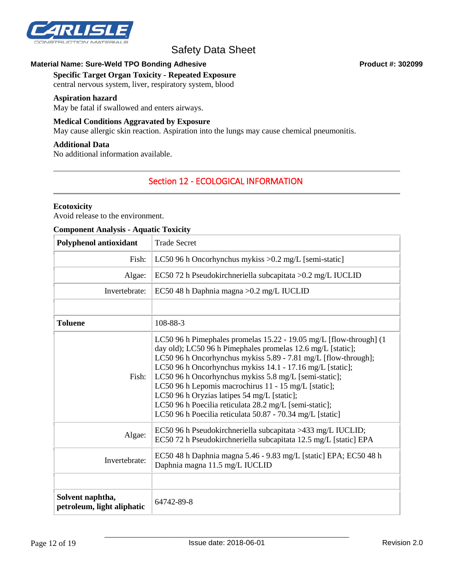

#### Material Name: Sure-Weld TPO Bonding Adhesive **Product #: 302099** Product #: 302099

#### **Specific Target Organ Toxicity - Repeated Exposure**

central nervous system, liver, respiratory system, blood

#### **Aspiration hazard**

May be fatal if swallowed and enters airways.

#### **Medical Conditions Aggravated by Exposure**

May cause allergic skin reaction. Aspiration into the lungs may cause chemical pneumonitis.

#### **Additional Data**

No additional information available.

## Section 12 - ECOLOGICAL INFORMATION

#### **Ecotoxicity**

Avoid release to the environment.

#### **Component Analysis - Aquatic Toxicity**

| <b>Polyphenol antioxidant</b>                  | <b>Trade Secret</b>                                                                                                                                                                                                                                                                                                                                                                                                                                                                                                                                     |
|------------------------------------------------|---------------------------------------------------------------------------------------------------------------------------------------------------------------------------------------------------------------------------------------------------------------------------------------------------------------------------------------------------------------------------------------------------------------------------------------------------------------------------------------------------------------------------------------------------------|
| Fish:                                          | LC50 96 h Oncorhynchus mykiss $>0.2$ mg/L [semi-static]                                                                                                                                                                                                                                                                                                                                                                                                                                                                                                 |
| Algae:                                         | EC50 72 h Pseudokirchneriella subcapitata > 0.2 mg/L IUCLID                                                                                                                                                                                                                                                                                                                                                                                                                                                                                             |
| Invertebrate:                                  | EC50 48 h Daphnia magna > 0.2 mg/L IUCLID                                                                                                                                                                                                                                                                                                                                                                                                                                                                                                               |
|                                                |                                                                                                                                                                                                                                                                                                                                                                                                                                                                                                                                                         |
| <b>Toluene</b>                                 | 108-88-3                                                                                                                                                                                                                                                                                                                                                                                                                                                                                                                                                |
| Fish:                                          | LC50 96 h Pimephales promelas 15.22 - 19.05 mg/L [flow-through] (1<br>day old); LC50 96 h Pimephales promelas 12.6 mg/L [static];<br>LC50 96 h Oncorhynchus mykiss 5.89 - 7.81 mg/L [flow-through];<br>LC50 96 h Oncorhynchus mykiss 14.1 - 17.16 mg/L [static];<br>LC50 96 h Oncorhynchus mykiss 5.8 mg/L [semi-static];<br>LC50 96 h Lepomis macrochirus 11 - 15 mg/L [static];<br>LC50 96 h Oryzias latipes 54 mg/L [static];<br>LC50 96 h Poecilia reticulata 28.2 mg/L [semi-static];<br>LC50 96 h Poecilia reticulata 50.87 - 70.34 mg/L [static] |
| Algae:                                         | EC50 96 h Pseudokirchneriella subcapitata >433 mg/L IUCLID;<br>EC50 72 h Pseudokirchneriella subcapitata 12.5 mg/L [static] EPA                                                                                                                                                                                                                                                                                                                                                                                                                         |
| Invertebrate:                                  | EC50 48 h Daphnia magna 5.46 - 9.83 mg/L [static] EPA; EC50 48 h<br>Daphnia magna 11.5 mg/L IUCLID                                                                                                                                                                                                                                                                                                                                                                                                                                                      |
|                                                |                                                                                                                                                                                                                                                                                                                                                                                                                                                                                                                                                         |
| Solvent naphtha,<br>petroleum, light aliphatic | 64742-89-8                                                                                                                                                                                                                                                                                                                                                                                                                                                                                                                                              |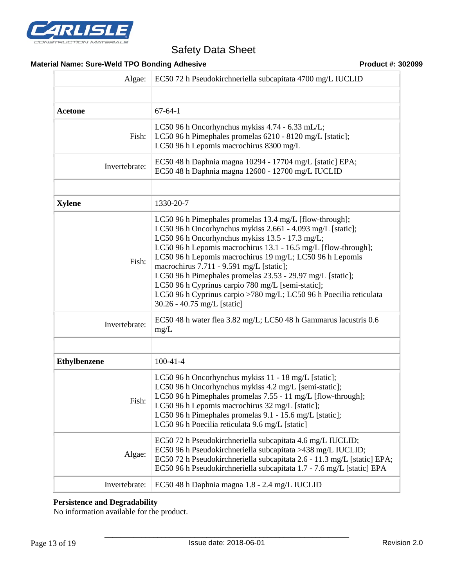

## **Material Name: Sure-Weld TPO Bonding Adhesive <b>Product #: 302099** Product #: 302099

| Algae:                                                                                                                                                                                                                                                                                                                                                  | EC50 72 h Pseudokirchneriella subcapitata 4700 mg/L IUCLID                                                                                                                                                                                                                                                                                                                                                                                                                                                                                                                 |  |  |
|---------------------------------------------------------------------------------------------------------------------------------------------------------------------------------------------------------------------------------------------------------------------------------------------------------------------------------------------------------|----------------------------------------------------------------------------------------------------------------------------------------------------------------------------------------------------------------------------------------------------------------------------------------------------------------------------------------------------------------------------------------------------------------------------------------------------------------------------------------------------------------------------------------------------------------------------|--|--|
|                                                                                                                                                                                                                                                                                                                                                         |                                                                                                                                                                                                                                                                                                                                                                                                                                                                                                                                                                            |  |  |
| <b>Acetone</b>                                                                                                                                                                                                                                                                                                                                          | $67 - 64 - 1$                                                                                                                                                                                                                                                                                                                                                                                                                                                                                                                                                              |  |  |
| Fish:                                                                                                                                                                                                                                                                                                                                                   | LC50 96 h Oncorhynchus mykiss 4.74 - 6.33 mL/L;<br>LC50 96 h Pimephales promelas 6210 - 8120 mg/L [static];<br>LC50 96 h Lepomis macrochirus 8300 mg/L                                                                                                                                                                                                                                                                                                                                                                                                                     |  |  |
| Invertebrate:                                                                                                                                                                                                                                                                                                                                           | EC50 48 h Daphnia magna 10294 - 17704 mg/L [static] EPA;<br>EC50 48 h Daphnia magna 12600 - 12700 mg/L IUCLID                                                                                                                                                                                                                                                                                                                                                                                                                                                              |  |  |
|                                                                                                                                                                                                                                                                                                                                                         |                                                                                                                                                                                                                                                                                                                                                                                                                                                                                                                                                                            |  |  |
| <b>Xylene</b>                                                                                                                                                                                                                                                                                                                                           | 1330-20-7                                                                                                                                                                                                                                                                                                                                                                                                                                                                                                                                                                  |  |  |
| Fish:                                                                                                                                                                                                                                                                                                                                                   | LC50 96 h Pimephales promelas 13.4 mg/L [flow-through];<br>LC50 96 h Oncorhynchus mykiss 2.661 - 4.093 mg/L [static];<br>LC50 96 h Oncorhynchus mykiss 13.5 - 17.3 mg/L;<br>LC50 96 h Lepomis macrochirus 13.1 - 16.5 mg/L [flow-through];<br>LC50 96 h Lepomis macrochirus 19 mg/L; LC50 96 h Lepomis<br>macrochirus 7.711 - 9.591 mg/L [static];<br>LC50 96 h Pimephales promelas 23.53 - 29.97 mg/L [static];<br>LC50 96 h Cyprinus carpio 780 mg/L [semi-static];<br>LC50 96 h Cyprinus carpio >780 mg/L; LC50 96 h Poecilia reticulata<br>30.26 - 40.75 mg/L [static] |  |  |
| Invertebrate:                                                                                                                                                                                                                                                                                                                                           | EC50 48 h water flea 3.82 mg/L; LC50 48 h Gammarus lacustris 0.6<br>mg/L                                                                                                                                                                                                                                                                                                                                                                                                                                                                                                   |  |  |
|                                                                                                                                                                                                                                                                                                                                                         |                                                                                                                                                                                                                                                                                                                                                                                                                                                                                                                                                                            |  |  |
| <b>Ethylbenzene</b>                                                                                                                                                                                                                                                                                                                                     | $100-41-4$                                                                                                                                                                                                                                                                                                                                                                                                                                                                                                                                                                 |  |  |
| LC50 96 h Oncorhynchus mykiss 11 - 18 mg/L [static];<br>LC50 96 h Oncorhynchus mykiss 4.2 mg/L [semi-static];<br>LC50 96 h Pimephales promelas 7.55 - 11 mg/L [flow-through];<br>Fish:<br>LC50 96 h Lepomis macrochirus 32 mg/L [static];<br>LC50 96 h Pimephales promelas 9.1 - 15.6 mg/L [static];<br>LC50 96 h Poecilia reticulata 9.6 mg/L [static] |                                                                                                                                                                                                                                                                                                                                                                                                                                                                                                                                                                            |  |  |
| Algae:                                                                                                                                                                                                                                                                                                                                                  | EC50 72 h Pseudokirchneriella subcapitata 4.6 mg/L IUCLID;<br>EC50 96 h Pseudokirchneriella subcapitata >438 mg/L IUCLID;<br>EC50 72 h Pseudokirchneriella subcapitata 2.6 - 11.3 mg/L [static] EPA;<br>EC50 96 h Pseudokirchneriella subcapitata 1.7 - 7.6 mg/L [static] EPA                                                                                                                                                                                                                                                                                              |  |  |
| Invertebrate:                                                                                                                                                                                                                                                                                                                                           | EC50 48 h Daphnia magna 1.8 - 2.4 mg/L IUCLID                                                                                                                                                                                                                                                                                                                                                                                                                                                                                                                              |  |  |

## **Persistence and Degradability**

No information available for the product.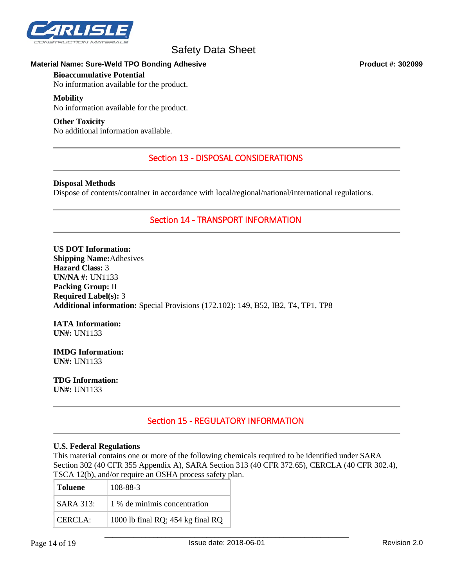

#### **Material Name: Sure-Weld TPO Bonding Adhesive Product #: 302099**

#### **Bioaccumulative Potential**

No information available for the product.

#### **Mobility**

No information available for the product.

#### **Other Toxicity**

No additional information available.

## Section 13 - DISPOSAL CONSIDERATIONS

#### **Disposal Methods**

Dispose of contents/container in accordance with local/regional/national/international regulations.

## Section 14 - TRANSPORT INFORMATION

**US DOT Information: Shipping Name:**Adhesives **Hazard Class:** 3 **UN/NA #:** UN1133 **Packing Group:** II **Required Label(s):** 3 **Additional information:** Special Provisions (172.102): 149, B52, IB2, T4, TP1, TP8

#### **IATA Information: UN#:** UN1133

**IMDG Information: UN#:** UN1133

**TDG Information: UN#:** UN1133

# Section 15 - REGULATORY INFORMATION

#### **U.S. Federal Regulations**

This material contains one or more of the following chemicals required to be identified under SARA Section 302 (40 CFR 355 Appendix A), SARA Section 313 (40 CFR 372.65), CERCLA (40 CFR 302.4), TSCA 12(b), and/or require an OSHA process safety plan.

| <b>Toluene</b>   | 108-88-3                          |
|------------------|-----------------------------------|
| <b>SARA 313:</b> | 1 % de minimis concentration      |
| CERCIA:          | 1000 lb final RQ; 454 kg final RQ |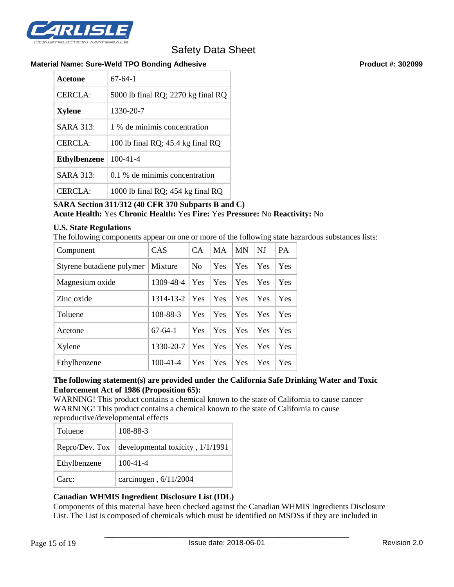

#### **Material Name: Sure-Weld TPO Bonding Adhesive Product #: 302099**

| Acetone             | $67-64-1$                           |  |
|---------------------|-------------------------------------|--|
| CERCLA:             | 5000 lb final RQ; 2270 kg final RQ  |  |
| <b>Xylene</b>       | 1330-20-7                           |  |
| <b>SARA 313:</b>    | 1 % de minimis concentration        |  |
| <b>CERCLA:</b>      | 100 lb final RQ; $45.4$ kg final RQ |  |
| <b>Ethylbenzene</b> | $100 - 41 - 4$                      |  |
| <b>SARA 313:</b>    | 0.1 % de minimis concentration      |  |
| CERCLA:             | 1000 lb final RQ; 454 kg final RQ   |  |

## **SARA Section 311/312 (40 CFR 370 Subparts B and C) Acute Health:** Yes **Chronic Health:** Yes **Fire:** Yes **Pressure:** No **Reactivity:** No

### **U.S. State Regulations**

The following components appear on one or more of the following state hazardous substances lists:

| Component                 | CAS            | <b>CA</b>      | <b>MA</b> | <b>MN</b> | NJ  | <b>PA</b> |
|---------------------------|----------------|----------------|-----------|-----------|-----|-----------|
| Styrene butadiene polymer | Mixture        | N <sub>0</sub> | Yes       | Yes       | Yes | Yes       |
| Magnesium oxide           | 1309-48-4      | Yes            | Yes       | Yes       | Yes | Yes       |
| Zinc oxide                | 1314-13-2      | Yes            | Yes       | Yes       | Yes | Yes       |
| Toluene                   | 108-88-3       | Yes            | Yes       | Yes       | Yes | Yes       |
| Acetone                   | $67-64-1$      | Yes            | Yes       | Yes       | Yes | Yes       |
| Xylene                    | 1330-20-7      | Yes            | Yes       | Yes       | Yes | Yes       |
| Ethylbenzene              | $100 - 41 - 4$ | Yes            | Yes       | Yes       | Yes | Yes       |

#### **The following statement(s) are provided under the California Safe Drinking Water and Toxic Enforcement Act of 1986 (Proposition 65):**

WARNING! This product contains a chemical known to the state of California to cause cancer WARNING! This product contains a chemical known to the state of California to cause reproductive/developmental effects

| Toluene      | 108-88-3                                            |
|--------------|-----------------------------------------------------|
|              | Repro/Dev. Tox   developmental toxicity, $1/1/1991$ |
| Ethylbenzene | $100 - 41 - 4$                                      |
| Carc:        | carcinogen, 6/11/2004                               |

## **Canadian WHMIS Ingredient Disclosure List (IDL)**

Components of this material have been checked against the Canadian WHMIS Ingredients Disclosure List. The List is composed of chemicals which must be identified on MSDSs if they are included in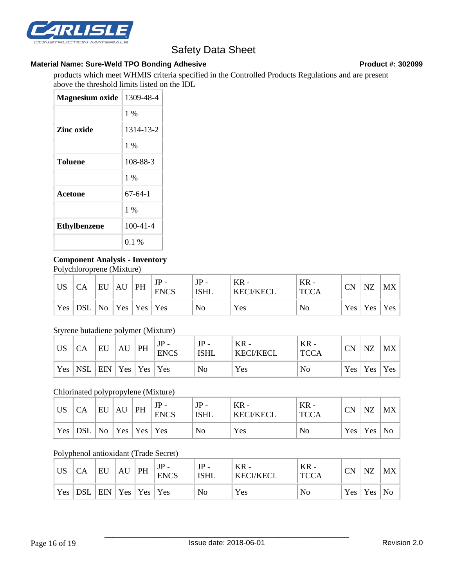

#### Material Name: Sure-Weld TPO Bonding Adhesive **Product #: 302099** Product #: 302099

products which meet WHMIS criteria specified in the Controlled Products Regulations and are present above the threshold limits listed on the IDL

| <b>Magnesium oxide</b> | 1309-48-4      |
|------------------------|----------------|
|                        | $1\%$          |
| Zinc oxide             | 1314-13-2      |
|                        | $1\%$          |
| <b>Toluene</b>         | 108-88-3       |
|                        | $1\%$          |
| Acetone                | $67-64-1$      |
|                        | $1\%$          |
| <b>Ethylbenzene</b>    | $100 - 41 - 4$ |
|                        | $0.1\%$        |

### **Component Analysis - Inventory**

Polychloroprene (Mixture)

| <b>US</b>  | СA                         | EU | AU | PH | $JP -$<br><b>ENCS</b> | $JP -$<br>ISHL | $KR -$<br><b>KECI/KECL</b> | $KR -$<br><b>TCCA</b> | CN | <b>NZ</b>           | <b>MX</b> |
|------------|----------------------------|----|----|----|-----------------------|----------------|----------------------------|-----------------------|----|---------------------|-----------|
| $Yes \mid$ | DSL   No   Yes   Yes   Yes |    |    |    |                       | No             | Yes                        | No                    |    | $Yes \mid Yes \mid$ | Yes       |

#### Styrene butadiene polymer (Mixture)

| <b>US</b>  | CA               | EU                 | AU | PH | $JP -$<br><b>ENCS</b> | $JP -$<br><b>ISHL</b> | $KR -$<br><b>KECI/KECL</b> | $KR -$<br><b>TCCA</b> | CN  | NZ  | МX  |
|------------|------------------|--------------------|----|----|-----------------------|-----------------------|----------------------------|-----------------------|-----|-----|-----|
| $Yes \mid$ | NSL <sup>'</sup> | $ ENN Yes Yes Yes$ |    |    |                       | No                    | Yes                        | No                    | Yes | Yes | Yes |

### Chlorinated polypropylene (Mixture)

| <b>US</b> | CA         | EU  | AU | PH                              | JP<br><b>ENCS</b> | $JP -$<br>ISHL | $KR -$<br><b>KECI/KECL</b> | KR -<br><b>TCCA</b> | CN  | <b>NZ</b> | MX   |
|-----------|------------|-----|----|---------------------------------|-------------------|----------------|----------------------------|---------------------|-----|-----------|------|
| Yes       | <b>DSL</b> | No. |    | $\vert$ Yes $\vert$ Yes $\vert$ | $\mathsf{Yes}$    | No             | Yes                        | No                  | Yes | Yes       | ' No |

#### Polyphenol antioxidant (Trade Secret)

| <b>US</b>  | CA           | EU                       | AU | PH | $JP -$<br><b>ENCS</b> | $JP -$<br><b>ISHL</b> | $KR -$<br><b>KECI/KECL</b> | $KR -$<br><b>TCCA</b> | <b>CN</b> | <b>NZ</b> | MX |
|------------|--------------|--------------------------|----|----|-----------------------|-----------------------|----------------------------|-----------------------|-----------|-----------|----|
| $Yes \mid$ | $\mathsf{L}$ | $ ENN   Yes   Yes   Yes$ |    |    |                       | No                    | Yes                        | No                    | Yes       | Yes       | No |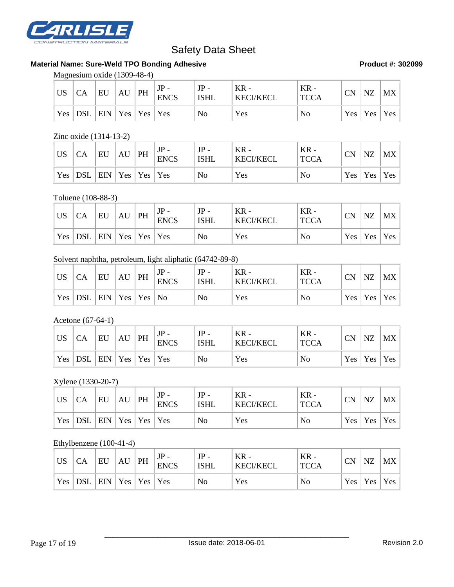

## **Material Name: Sure-Weld TPO Bonding Adhesive <b>Product #: 302099** Product #: 302099

Magnesium oxide (1309-48-4)

| <b>US</b> | CA        | EU                 | AU | PH | $JP -$<br><b>ENCS</b> | $JP -$<br><b>ISHL</b> | $KR -$<br><b>KECI/KECL</b> | $KR -$<br><b>TCCA</b> | <b>CN</b> | <b>NZ</b>       | MX |
|-----------|-----------|--------------------|----|----|-----------------------|-----------------------|----------------------------|-----------------------|-----------|-----------------|----|
|           | Yes   DSL | $ ENN Yes Yes Yes$ |    |    |                       | N <sub>o</sub>        | Yes                        | No                    |           | Yes   Yes   Yes |    |

#### Zinc oxide (1314-13-2)

| <b>US</b>  | CA  | EU                 | AU | PH | $JP -$<br><b>ENCS</b> | $JP -$<br><b>ISHL</b> | KR -<br><b>KECI/KECL</b> | $KR -$<br><b>TCCA</b> | <b>CN</b> | <b>NZ</b> | $MX \mid$       |
|------------|-----|--------------------|----|----|-----------------------|-----------------------|--------------------------|-----------------------|-----------|-----------|-----------------|
| $Yes \mid$ | DSL | $ ENN Yes Yes Yes$ |    |    |                       | No                    | Yes                      | No                    |           |           | Yes   Yes   Yes |

#### Toluene (108-88-3)

| <b>US</b>  | СA    | EU                              | AU | PH | $JP -$<br><b>ENCS</b> | $JP -$<br><b>ISHL</b> | $KR -$<br><b>KECI/KECL</b> | $KR -$<br><b>TCCA</b> | <b>CN</b> | <b>NZ</b>       | MX |
|------------|-------|---------------------------------|----|----|-----------------------|-----------------------|----------------------------|-----------------------|-----------|-----------------|----|
| $Yes \mid$ | ' DSL | $ $ EIN $ $ Yes $ $ Yes $ $ Yes |    |    |                       | No                    | Yes                        | N <sub>o</sub>        |           | Yes   Yes   Yes |    |

# Solvent naphtha, petroleum, light aliphatic (64742-89-8)

| <b>US</b> | СA           | EU                | AU | PH | <b>ENCS</b> | $JP -$<br><b>ISHL</b> | $KR -$<br><b>KECI/KECL</b> | $KR -$<br><b>TCCA</b> | CN | NZ                  | MX         |
|-----------|--------------|-------------------|----|----|-------------|-----------------------|----------------------------|-----------------------|----|---------------------|------------|
| Yes       | $\mathsf{L}$ | $ ENN Yes Yes No$ |    |    |             | No                    | Yes                        | No                    |    | $Yes \mid Yes \mid$ | <b>Yes</b> |

#### Acetone (67-64-1)

| <b>US</b> | CA         | EU                 | AU | PH | $\mathbf{D}_{-}$<br><b>ENCS</b> | $JP -$<br><b>ISHL</b> | $KR -$<br><b>KECI/KECL</b> | $KR -$<br><b>TCCA</b> | <b>CN</b> | NZ             | <b>MX</b> |
|-----------|------------|--------------------|----|----|---------------------------------|-----------------------|----------------------------|-----------------------|-----------|----------------|-----------|
| Yes       | <b>DSL</b> | $ ENN Yes Yes Yes$ |    |    |                                 | No                    | Yes                        | No                    |           | $Yes \mid Yes$ | Yes       |

#### Xylene (1330-20-7)

| <b>US</b> |                                     | EU | AU | PH | $JP -$<br><b>ENCS</b> | $JP -$<br><b>ISHL</b> | $KR -$<br><b>KECI/KECL</b> | $KR -$<br><b>TCCA</b> | $\cap$ N<br>w | <b>NZ</b> | MX          |
|-----------|-------------------------------------|----|----|----|-----------------------|-----------------------|----------------------------|-----------------------|---------------|-----------|-------------|
| Yes       | $ $ DSL $ $ EIN $ $ Yes $ $ Yes $ $ |    |    |    | Yes                   | No                    | Yes                        | No                    | Yes           | Yes       | $\vert$ Yes |

## Ethylbenzene (100-41-4)

| <b>US</b> |                         | EU                               | AU | PH | <b>ENCS</b> | $JP -$<br><b>ISHL</b> | $KR -$<br><b>KECI/KECL</b> | $KR -$<br><b>TCCA</b> | <b>CN</b> | NZ              | MX |
|-----------|-------------------------|----------------------------------|----|----|-------------|-----------------------|----------------------------|-----------------------|-----------|-----------------|----|
|           | $\vert$ Yes $\vert$ DSL | $\ $ EIN $ $ Yes $ $ Yes $ $ Yes |    |    |             | N <sub>0</sub>        | Yes                        | No                    |           | Yes   Yes   Yes |    |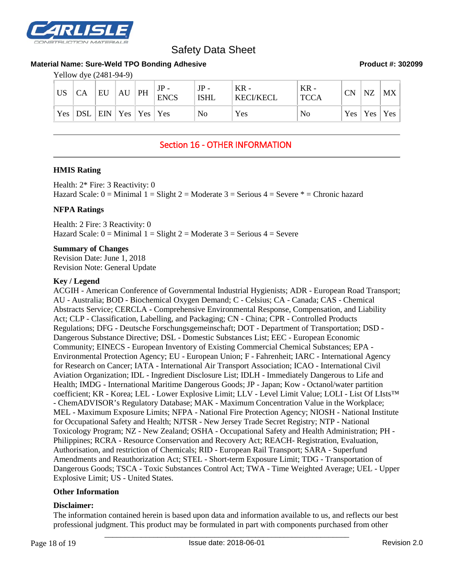

#### **Material Name: Sure-Weld TPO Bonding Adhesive Product #: 302099**

Yellow dye (2481-94-9)

| US | <b>CA</b>                                                               | EU | $AU$   PH | <b>ENCS</b> | $JP -$<br><b>ISHL</b> | $KR -$<br><b>KECI/KECL</b> | $KR -$<br><b>TCCA</b> | <b>CN</b> | NZ                      | <b>MX</b> |
|----|-------------------------------------------------------------------------|----|-----------|-------------|-----------------------|----------------------------|-----------------------|-----------|-------------------------|-----------|
|    | $\vert$ Yes $\vert$ DSL $\vert$ EIN $\vert$ Yes $\vert$ Yes $\vert$ Yes |    |           |             | No                    | Yes                        | No                    |           | $Yes \mid Yes \mid Yes$ |           |

## Section 16 - OTHER INFORMATION

#### **HMIS Rating**

Health: 2\* Fire: 3 Reactivity: 0 Hazard Scale:  $0 =$  Minimal  $1 =$  Slight  $2 =$  Moderate  $3 =$  Serious  $4 =$  Severe  $* =$  Chronic hazard

#### **NFPA Ratings**

Health: 2 Fire: 3 Reactivity: 0 Hazard Scale:  $0 =$  Minimal  $1 =$  Slight  $2 =$  Moderate  $3 =$  Serious  $4 =$  Severe

#### **Summary of Changes**

Revision Date: June 1, 2018 Revision Note: General Update

#### **Key / Legend**

ACGIH - American Conference of Governmental Industrial Hygienists; ADR - European Road Transport; AU - Australia; BOD - Biochemical Oxygen Demand; C - Celsius; CA - Canada; CAS - Chemical Abstracts Service; CERCLA - Comprehensive Environmental Response, Compensation, and Liability Act; CLP - Classification, Labelling, and Packaging; CN - China; CPR - Controlled Products Regulations; DFG - Deutsche Forschungsgemeinschaft; DOT - Department of Transportation; DSD - Dangerous Substance Directive; DSL - Domestic Substances List; EEC - European Economic Community; EINECS - European Inventory of Existing Commercial Chemical Substances; EPA - Environmental Protection Agency; EU - European Union; F - Fahrenheit; IARC - International Agency for Research on Cancer; IATA - International Air Transport Association; ICAO - International Civil Aviation Organization; IDL - Ingredient Disclosure List; IDLH - Immediately Dangerous to Life and Health; IMDG - International Maritime Dangerous Goods; JP - Japan; Kow - Octanol/water partition coefficient; KR - Korea; LEL - Lower Explosive Limit; LLV - Level Limit Value; LOLI - List Of LIsts™ - ChemADVISOR's Regulatory Database; MAK - Maximum Concentration Value in the Workplace; MEL - Maximum Exposure Limits; NFPA - National Fire Protection Agency; NIOSH - National Institute for Occupational Safety and Health; NJTSR - New Jersey Trade Secret Registry; NTP - National Toxicology Program; NZ - New Zealand; OSHA - Occupational Safety and Health Administration; PH - Philippines; RCRA - Resource Conservation and Recovery Act; REACH- Registration, Evaluation, Authorisation, and restriction of Chemicals; RID - European Rail Transport; SARA - Superfund Amendments and Reauthorization Act; STEL - Short-term Exposure Limit; TDG - Transportation of Dangerous Goods; TSCA - Toxic Substances Control Act; TWA - Time Weighted Average; UEL - Upper Explosive Limit; US - United States.

#### **Other Information**

#### **Disclaimer:**

The information contained herein is based upon data and information available to us, and reflects our best professional judgment. This product may be formulated in part with components purchased from other